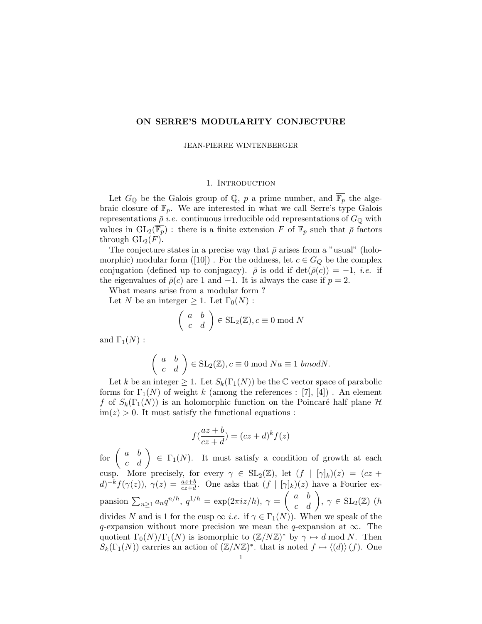# ON SERRE'S MODULARITY CONJECTURE

JEAN-PIERRE WINTENBERGER

# 1. INTRODUCTION

Let  $G_{\mathbb{Q}}$  be the Galois group of  $\mathbb{Q}$ , p a prime number, and  $\overline{\mathbb{F}_p}$  the algebraic closure of  $\mathbb{F}_p$ . We are interested in what we call Serre's type Galois representations  $\bar{\rho}$  *i.e.* continuous irreducible odd representations of  $G_{\mathbb{Q}}$  with values in  $GL_2(\overline{\mathbb{F}_p})$ : there is a finite extension F of  $\mathbb{F}_p$  such that  $\overline{\rho}$  factors through  $GL_2(F)$ .

The conjecture states in a precise way that  $\bar{\rho}$  arises from a "usual" (holomorphic) modular form ([10]). For the oddness, let  $c \in G_Q$  be the complex conjugation (defined up to conjugacy).  $\bar{\rho}$  is odd if  $\det(\bar{\rho}(c)) = -1$ , *i.e.* if the eigenvalues of  $\bar{\rho}(c)$  are 1 and -1. It is always the case if  $p = 2$ .

What means arise from a modular form ?

Let N be an interger  $\geq 1$ . Let  $\Gamma_0(N)$ :

$$
\left(\begin{array}{cc} a & b \\ c & d \end{array}\right) \in SL_2(\mathbb{Z}), c \equiv 0 \text{ mod } N
$$

and  $\Gamma_1(N)$  :

$$
\left(\begin{array}{cc} a & b \\ c & d \end{array}\right) \in SL_2(\mathbb{Z}), c \equiv 0 \text{ mod } Na \equiv 1 \text{ bmod}N.
$$

Let k be an integer  $\geq 1$ . Let  $S_k(\Gamma_1(N))$  be the C vector space of parabolic forms for  $\Gamma_1(N)$  of weight k (among the references : [7], [4]). An element f of  $S_k(\Gamma_1(N))$  is an holomorphic function on the Poincaré half plane H  $\text{im}(z) > 0$ . It must satisfy the functional equations :

$$
f(\frac{az+b}{cz+d}) = (cz+d)^k f(z)
$$

for  $\begin{pmatrix} a & b \\ c & d \end{pmatrix} \in \Gamma_1(N)$ . It must satisfy a condition of growth at each cusp. More precisely, for every  $\gamma \in SL_2(\mathbb{Z})$ , let  $(f | [\gamma]_k)(z) = (cz +$  $d)^{-k} f(\gamma(z))$ ,  $\gamma(z) = \frac{az+b}{cz+d}$ . One asks that  $(f | [\gamma]_k)(z)$  have a Fourier expansion  $\sum_{n\geq 1} a_n q^{n/h}$ ,  $q^{1/h} = \exp(2\pi i z/h)$ ,  $\gamma = \begin{pmatrix} a & b \\ c & d \end{pmatrix}$ ,  $\gamma \in SL_2(\mathbb{Z})$  (h divides N and is 1 for the cusp  $\infty$  *i.e.* if  $\gamma \in \Gamma_1(N)$ ). When we speak of the q-expansion without more precision we mean the q-expansion at  $\infty$ . The quotient  $\Gamma_0(N)/\Gamma_1(N)$  is isomorphic to  $(\mathbb{Z}/N\mathbb{Z})^*$  by  $\gamma \mapsto d \mod N$ . Then  $S_k(\Gamma_1(N))$  carries an action of  $(\mathbb{Z}/N\mathbb{Z})^*$ , that is noted  $f \mapsto \langle d \rangle \langle f \rangle$ . One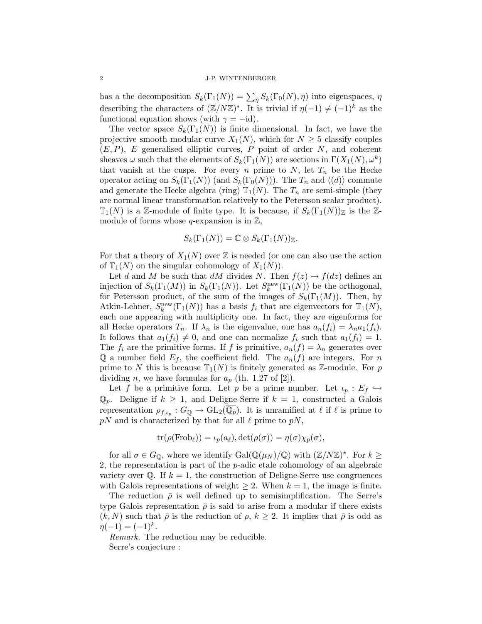has a the decomposition  $S_k(\Gamma_1(N)) = \sum_{\eta} S_k(\Gamma_0(N), \eta)$  into eigenspaces,  $\eta$ describing the characters of  $(\mathbb{Z}/N\mathbb{Z})^*$ . It is trivial if  $\eta(-1) \neq (-1)^k$  as the functional equation shows (with  $\gamma = -id$ ).

The vector space  $S_k(\Gamma_1(N))$  is finite dimensional. In fact, we have the projective smooth modular curve  $X_1(N)$ , which for  $N \geq 5$  classify couples  $(E, P)$ , E generalised elliptic curves, P point of order N, and coherent sheaves  $\omega$  such that the elements of  $S_k(\Gamma_1(N))$  are sections in  $\Gamma(X_1(N), \omega^k)$ that vanish at the cusps. For every n prime to  $N$ , let  $T_n$  be the Hecke operator acting on  $S_k(\Gamma_1(N))$  (and  $S_k(\Gamma_0(N))$ ). The  $T_n$  and  $\langle d \rangle$  commute and generate the Hecke algebra (ring)  $\mathbb{T}_1(N)$ . The  $T_n$  are semi-simple (they are normal linear transformation relatively to the Petersson scalar product).  $\mathbb{T}_1(N)$  is a Z-module of finite type. It is because, if  $S_k(\Gamma_1(N))_{\mathbb{Z}}$  is the Zmodule of forms whose  $q$ -expansion is in  $\mathbb{Z}$ ,

$$
S_k(\Gamma_1(N)) = \mathbb{C} \otimes S_k(\Gamma_1(N))_{\mathbb{Z}}.
$$

For that a theory of  $X_1(N)$  over  $\mathbb Z$  is needed (or one can also use the action of  $\mathbb{T}_1(N)$  on the singular cohomology of  $X_1(N)$ ).

Let d and M be such that dM divides N. Then  $f(z) \mapsto f(dz)$  defines an injection of  $S_k(\Gamma_1(M))$  in  $S_k(\Gamma_1(N))$ . Let  $S_k^{\text{new}}(\Gamma_1(N))$  be the orthogonal, for Petersson product, of the sum of the images of  $S_k(\Gamma_1(M))$ . Then, by Atkin-Lehner,  $S_k^{\text{new}}(\Gamma_1(N))$  has a basis  $f_i$  that are eigenvectors for  $\mathbb{T}_1(N)$ , each one appearing with multiplicity one. In fact, they are eigenforms for all Hecke operators  $T_n$ . If  $\lambda_n$  is the eigenvalue, one has  $a_n(f_i) = \lambda_n a_1(f_i)$ . It follows that  $a_1(f_i) \neq 0$ , and one can normalize  $f_i$  such that  $a_1(f_i) = 1$ . The  $f_i$  are the primitive forms. If f is primitive,  $a_n(f) = \lambda_n$  generates over Q a number field  $E_f$ , the coefficient field. The  $a_n(f)$  are integers. For n prime to N this is because  $\mathbb{T}_1(N)$  is finitely generated as Z-module. For p dividing *n*, we have formulas for  $a_p$  (th. 1.27 of [2]).

Let f be a primitive form. Let p be a prime number. Let  $\iota_p : E_f \hookrightarrow$  $\overline{\mathbb{Q}_p}$ . Deligne if  $k \geq 1$ , and Deligne-Serre if  $k = 1$ , constructed a Galois representation  $\rho_{f,\iota_p} : G_{\mathbb{Q}} \to GL_2(\overline{\mathbb{Q}_p})$ . It is unramified at  $\ell$  if  $\ell$  is prime to  $pN$  and is characterized by that for all  $\ell$  prime to  $pN$ ,

$$
\operatorname{tr}(\rho(\operatorname{Frob}_{\ell})) = \iota_p(a_{\ell}), \det(\rho(\sigma)) = \eta(\sigma) \chi_p(\sigma),
$$

for all  $\sigma \in G_{\mathbb{Q}}$ , where we identify  $Gal(\mathbb{Q}(\mu_N)/\mathbb{Q})$  with  $(\mathbb{Z}/N\mathbb{Z})^*$ . For  $k \geq$ 2, the representation is part of the p-adic etale cohomology of an algebraic variety over  $\mathbb{Q}$ . If  $k = 1$ , the construction of Deligne-Serre use congruences with Galois representations of weight  $\geq 2$ . When  $k = 1$ , the image is finite.

The reduction  $\bar{\rho}$  is well defined up to semisimplification. The Serre's type Galois representation  $\bar{\rho}$  is said to arise from a modular if there exists  $(k, N)$  such that  $\bar{\rho}$  is the reduction of  $\rho, k \geq 2$ . It implies that  $\bar{\rho}$  is odd as  $\eta(-1) = (-1)^k$ .

Remark. The reduction may be reducible.

Serre's conjecture :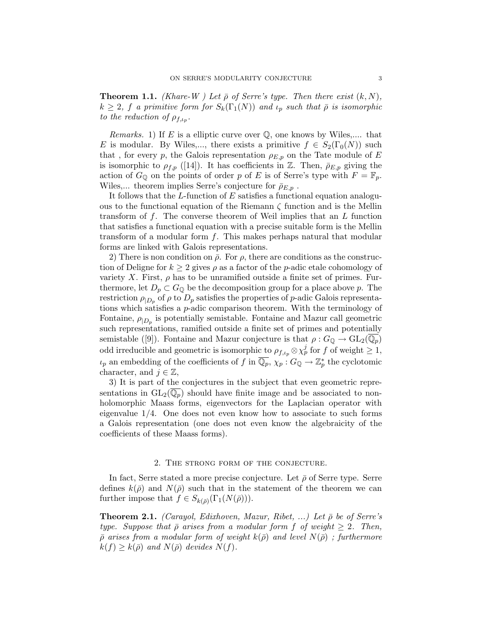**Theorem 1.1.** (Khare-W) Let  $\bar{\rho}$  of Serre's type. Then there exist  $(k, N)$ ,  $k \geq 2$ , f a primitive form for  $S_k(\Gamma_1(N))$  and  $\iota_p$  such that  $\bar{\rho}$  is isomorphic to the reduction of  $\rho_{f,\iota_p}$ .

*Remarks.* 1) If E is a elliptic curve over  $\mathbb{Q}$ , one knows by Wiles,.... that E is modular. By Wiles,..., there exists a primitive  $f \in S_2(\Gamma_0(N))$  such that, for every p, the Galois representation  $\rho_{E,p}$  on the Tate module of E is isomorphic to  $\rho_{f,p}$  ([14]). It has coefficients in Z. Then,  $\rho_{E,p}$  giving the action of  $G_{\mathbb{Q}}$  on the points of order p of E is of Serre's type with  $F = \mathbb{F}_p$ . Wiles,... theorem implies Serre's conjecture for  $\bar{\rho}_{E,p}$ .

It follows that the L-function of E satisfies a functional equation analoguous to the functional equation of the Riemann  $\zeta$  function and is the Mellin transform of  $f$ . The converse theorem of Weil implies that an  $L$  function that satisfies a functional equation with a precise suitable form is the Mellin transform of a modular form f. This makes perhaps natural that modular forms are linked with Galois representations.

2) There is non condition on  $\bar{\rho}$ . For  $\rho$ , there are conditions as the construction of Deligne for  $k \geq 2$  gives  $\rho$  as a factor of the *p*-adic etale cohomology of variety X. First,  $\rho$  has to be unramified outside a finite set of primes. Furthermore, let  $D_p \subset G_{\mathbb{Q}}$  be the decomposition group for a place above p. The restriction  $\rho_{|D_p}$  of  $\rho$  to  $D_p$  satisfies the properties of p-adic Galois representations which satisfies a p-adic comparison theorem. With the terminology of Fontaine,  $\rho_{|D_p}$  is potentially semistable. Fontaine and Mazur call geometric such representations, ramified outside a finite set of primes and potentially semistable ([9]). Fontaine and Mazur conjecture is that  $\rho: G_{\mathbb{Q}} \to GL_2(\mathbb{Q}_p)$ odd irreducible and geometric is isomorphic to  $\rho_{f,\iota_p} \otimes \chi_p^j$  for f of weight  $\geq 1$ ,  $\iota_p$  an embedding of the coefficients of f in  $\overline{\mathbb{Q}_p}$ ,  $\chi_p$  :  $G_{\mathbb{Q}} \to \mathbb{Z}_p^*$  the cyclotomic character, and  $j \in \mathbb{Z}$ ,

3) It is part of the conjectures in the subject that even geometric representations in  $GL_2(\mathbb{Q}_p)$  should have finite image and be associated to nonholomorphic Maass forms, eigenvectors for the Laplacian operator with eigenvalue  $1/4$ . One does not even know how to associate to such forms a Galois representation (one does not even know the algebraicity of the coefficients of these Maass forms).

### 2. The strong form of the conjecture.

In fact, Serre stated a more precise conjecture. Let  $\bar{\rho}$  of Serre type. Serre defines  $k(\bar{\rho})$  and  $N(\bar{\rho})$  such that in the statement of the theorem we can further impose that  $f \in S_{k(\bar{\rho})}(\Gamma_1(N(\bar{\rho})))$ .

**Theorem 2.1.** (Carayol, Edixhoven, Mazur, Ribet, ...) Let  $\bar{\rho}$  be of Serre's type. Suppose that  $\bar{\rho}$  arises from a modular form f of weight  $\geq 2$ . Then,  $\bar{\rho}$  arises from a modular form of weight  $k(\bar{\rho})$  and level  $N(\bar{\rho})$ ; furthermore  $k(f) \geq k(\bar{\rho})$  and  $N(\bar{\rho})$  devides  $N(f)$ .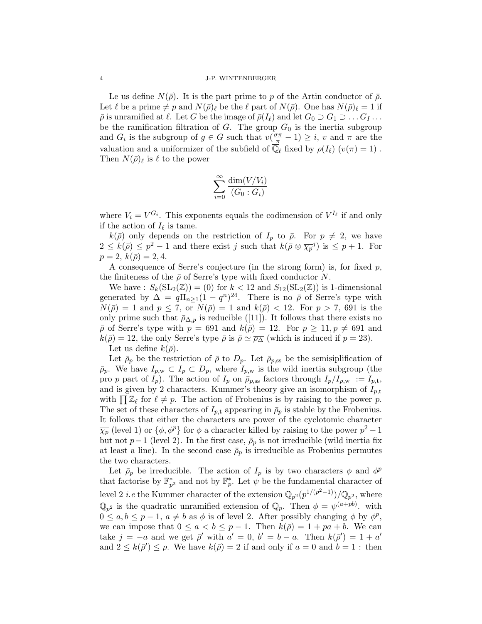Le us define  $N(\bar{\rho})$ . It is the part prime to p of the Artin conductor of  $\bar{\rho}$ . Let  $\ell$  be a prime  $\neq p$  and  $N(\bar{\rho})_\ell$  be the  $\ell$  part of  $N(\bar{\rho})$ . One has  $N(\bar{\rho})_\ell = 1$  if  $\overline{\rho}$  is unramified at  $\ell$ . Let G be the image of  $\overline{\rho}(I_{\ell})$  and let  $G_0 \supset G_1 \supset \ldots G_I \ldots$ be the ramification filtration of  $G$ . The group  $G_0$  is the inertia subgroup and  $G_i$  is the subgroup of  $g \in G$  such that  $v(\frac{\sigma \pi}{\pi} - 1) \geq i$ , v and  $\pi$  are the valuation and a uniformizer of the subfield of  $\overline{\mathbb{Q}}_{\ell}$  fixed by  $\rho(I_{\ell})$   $(v(\pi) = 1)$ . Then  $N(\bar{\rho})_{\ell}$  is  $\ell$  to the power

$$
\sum_{i=0}^{\infty} \frac{\dim(V/V_i)}{(G_0:G_i)}
$$

where  $V_i = V^{G_i}$ . This exponents equals the codimension of  $V^{I_\ell}$  if and only if the action of  $I_\ell$  is tame.

 $k(\bar{\rho})$  only depends on the restriction of  $I_p$  to  $\bar{\rho}$ . For  $p \neq 2$ , we have  $2 \leq k(\bar{\rho}) \leq p^2 - 1$  and there exist j such that  $k(\bar{\rho} \otimes \overline{\chi_p}^j)$  is  $\leq p+1$ . For  $p = 2, k(\bar{\rho}) = 2, 4.$ 

A consequence of Serre's conjecture (in the strong form) is, for fixed  $p$ , the finiteness of the  $\bar{\rho}$  of Serre's type with fixed conductor N.

We have :  $S_k(\mathop{{\rm SL}}\nolimits_2(\mathbb{Z})) = (0)$  for  $k < 12$  and  $S_{12}(\mathop{{\rm SL}}\nolimits_2(\mathbb{Z}))$  is 1-dimensional generated by  $\Delta = q \Pi_{n \geq 1} (1 - q^n)^{24}$ . There is no  $\bar{\rho}$  of Serre's type with  $N(\bar{\rho}) = 1$  and  $p \leq 7$ , or  $N(\bar{\rho}) = 1$  and  $k(\bar{\rho}) < 12$ . For  $p > 7$ , 691 is the only prime such that  $\bar{\rho}_{\Delta,p}$  is reducible ([11]). It follows that there exists no  $\bar{\rho}$  of Serre's type with  $p = 691$  and  $k(\bar{\rho}) = 12$ . For  $p \ge 11, p \ne 691$  and  $k(\bar{\rho}) = 12$ , the only Serre's type  $\bar{\rho}$  is  $\bar{\rho} \simeq \bar{\rho_{\Delta}}$  (which is induced if  $p = 23$ ). Let us define  $k(\bar{\rho})$ .

Let  $\bar{\rho}_p$  be the restriction of  $\bar{\rho}$  to  $D_p$ . Let  $\bar{\rho}_{p,ss}$  be the semisiplification of  $\bar{p}_p$ . We have  $I_{p,w} \subset I_p \subset D_p$ , where  $I_{p,w}$  is the wild inertia subgroup (the pro p part of  $I_p$ ). The action of  $I_p$  on  $\bar{\rho}_{p,ss}$  factors through  $I_p/I_{p,w} := I_{p,t}$ , and is given by 2 characters. Kummer's theory give an isomorphism of  $I_{p,t}$ with  $\prod \mathbb{Z}_{\ell}$  for  $\ell \neq p$ . The action of Frobenius is by raising to the power p. The set of these characters of  $I_{p,t}$  appearing in  $\bar{\rho}_p$  is stable by the Frobenius. It follows that either the characters are power of the cyclotomic character  $\overline{\chi_p}$  (level 1) or  $\{\phi, \phi^p\}$  for  $\phi$  a character killed by raising to the power  $p^2 - 1$ but not  $p-1$  (level 2). In the first case,  $\bar{\rho}_p$  is not irreducible (wild inertia fix at least a line). In the second case  $\bar{\rho}_p$  is irreducible as Frobenius permutes the two characters.

Let  $\bar{\rho}_p$  be irreducible. The action of  $I_p$  is by two characters  $\phi$  and  $\phi^p$ that factorise by  $\mathbb{F}_{p}^*$  and not by  $\mathbb{F}_p^*$ . Let  $\psi$  be the fundamental character of level 2 *i.e* the Kummer character of the extension  $\mathbb{Q}_{p^2}(p^{1/(p^2-1)})/\mathbb{Q}_{p^2}$ , where  $\mathbb{Q}_{p^2}$  is the quadratic unramified extension of  $\mathbb{Q}_p$ . Then  $\phi = \psi^{(a + pb)}$ . with  $0 \leq a, b \leq p-1, a \neq b$  as  $\phi$  is of level 2. After possibly changing  $\phi$  by  $\phi^p$ , we can impose that  $0 \le a < b \le p-1$ . Then  $k(\bar{p}) = 1 + pa + b$ . We can take  $j = -a$  and we get  $\bar{\rho}'$  with  $a' = 0$ ,  $b' = b - a$ . Then  $k(\bar{\rho}') = 1 + a'$ and  $2 \leq k(\bar{\rho}') \leq p$ . We have  $k(\bar{\rho}) = 2$  if and only if  $a = 0$  and  $b = 1$ : then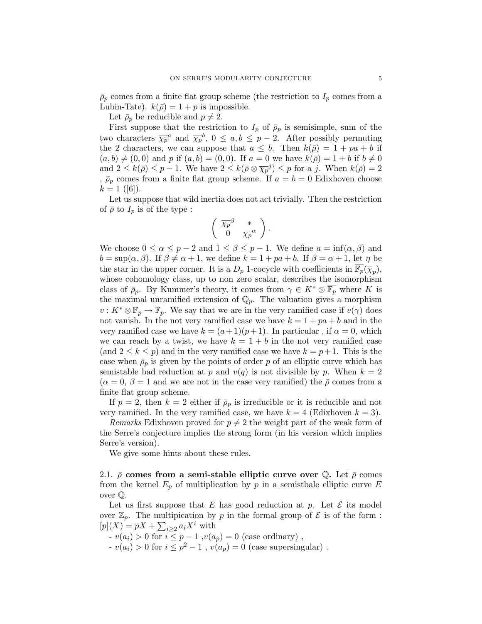$\bar{\rho}_p$  comes from a finite flat group scheme (the restriction to  $I_p$  comes from a Lubin-Tate).  $k(\bar{\rho}) = 1 + p$  is impossible.

Let  $\bar{\rho}_p$  be reducible and  $p \neq 2$ .

First suppose that the restriction to  $I_p$  of  $\bar{\rho}_p$  is semisimple, sum of the two characters  $\overline{\chi_p}^a$  and  $\overline{\chi_p}^b$ ,  $0 \leq a, b \leq p-2$ . After possibly permuting the 2 characters, we can suppose that  $a \leq b$ . Then  $k(\bar{p}) = 1 + pa + b$  if  $(a, b) \neq (0, 0)$  and p if  $(a, b) = (0, 0)$ . If  $a = 0$  we have  $k(\overline{\rho}) = 1 + b$  if  $b \neq 0$ and  $2 \leq k(\bar{\rho}) \leq p-1$ . We have  $2 \leq k(\bar{\rho} \otimes \bar{\chi}^{-j}) \leq p$  for a j. When  $k(\bar{\rho}) = 2$ ,  $\bar{\rho}_p$  comes from a finite flat group scheme. If  $a = b = 0$  Edixhoven choose  $k = 1$  ([6]).

Let us suppose that wild inertia does not act trivially. Then the restriction of  $\bar{\rho}$  to  $I_p$  is of the type :

$$
\left(\begin{array}{cc} \overline{\chi_p}^\beta & * \\ 0 & \overline{\chi_p}^\alpha \end{array}\right).
$$

We choose  $0 \le \alpha \le p-2$  and  $1 \le \beta \le p-1$ . We define  $a = \inf(\alpha, \beta)$  and  $b = \sup(\alpha, \beta)$ . If  $\beta \neq \alpha + 1$ , we define  $k = 1 + pa + b$ . If  $\beta = \alpha + 1$ , let  $\eta$  be the star in the upper corner. It is a  $D_p$  1-cocycle with coefficients in  $\overline{\mathbb{F}_p}(\overline{\chi}_p)$ , whose cohomology class, up to non zero scalar, describes the isomorphism class of  $\bar{\rho}_p$ . By Kummer's theory, it comes from  $\gamma \in K^* \otimes \overline{\mathbb{F}_p}$  where K is the maximal unramified extension of  $\mathbb{Q}_p$ . The valuation gives a morphism  $v: K^* \otimes \overline{\mathbb{F}_p} \to \overline{\mathbb{F}_p}$ . We say that we are in the very ramified case if  $v(\gamma)$  does not vanish. In the not very ramified case we have  $k = 1 + pa + b$  and in the very ramified case we have  $k = (a+1)(p+1)$ . In particular, if  $\alpha = 0$ , which we can reach by a twist, we have  $k = 1 + b$  in the not very ramified case (and  $2 \leq k \leq p$ ) and in the very ramified case we have  $k = p + 1$ . This is the case when  $\bar{\rho}_p$  is given by the points of order p of an elliptic curve which has semistable bad reduction at p and  $v(q)$  is not divisible by p. When  $k = 2$  $(\alpha = 0, \beta = 1$  and we are not in the case very ramified) the  $\overline{\rho}$  comes from a finite flat group scheme.

If  $p = 2$ , then  $k = 2$  either if  $\bar{\rho}_p$  is irreducible or it is reducible and not very ramified. In the very ramified case, we have  $k = 4$  (Edixhoven  $k = 3$ ).

Remarks Edixhoven proved for  $p \neq 2$  the weight part of the weak form of the Serre's conjecture implies the strong form (in his version which implies Serre's version).

We give some hints about these rules.

2.1.  $\bar{\rho}$  comes from a semi-stable elliptic curve over Q. Let  $\bar{\rho}$  comes from the kernel  $E_p$  of multiplication by p in a semistbale elliptic curve E over Q.

Let us first suppose that E has good reduction at p. Let  $\mathcal E$  its model over  $\mathbb{Z}_p$ . The multipication by p in the formal group of  $\mathcal E$  is of the form :  $[p](X) = pX + \sum_{i \geq 2} a_i X^i$  with

 $v(a_i) > 0$  for  $i \leq p-1$ ,  $v(a_p) = 0$  (case ordinary),  $- v(a_i) > 0$  for  $i \leq p^2 - 1$ ,  $v(a_p) = 0$  (case supersingular).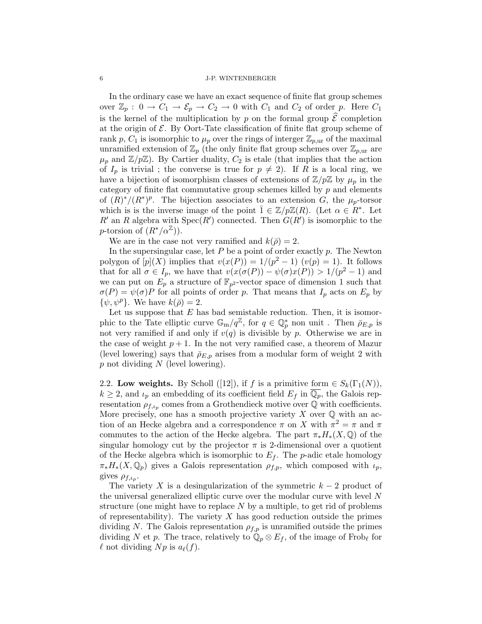In the ordinary case we have an exact sequence of finite flat group schemes over  $\mathbb{Z}_p : 0 \to C_1 \to \mathcal{E}_p \to C_2 \to 0$  with  $C_1$  and  $C_2$  of order p. Here  $C_1$ is the kernel of the multiplication by p on the formal group  $\hat{\mathcal{E}}$  completion at the origin of  $\mathcal{E}$ . By Oort-Tate classification of finite flat group scheme of rank p,  $C_1$  is isomorphic to  $\mu_p$  over the rings of interger  $\mathbb{Z}_{p,\text{ur}}$  of the maximal unramified extension of  $\mathbb{Z}_p$  (the only finite flat group schemes over  $\mathbb{Z}_{p,\text{ur}}$  are  $\mu_p$  and  $\mathbb{Z}/p\mathbb{Z}$ ). By Cartier duality,  $C_2$  is etale (that implies that the action of  $I_p$  is trivial; the converse is true for  $p \neq 2$ ). If R is a local ring, we have a bijection of isomorphism classes of extensions of  $\mathbb{Z}/p\mathbb{Z}$  by  $\mu_p$  in the category of finite flat commutative group schemes killed by  $p$  and elements of  $(R)^*/(R^*)^p$ . The bijection associates to an extension G, the  $\mu_p$ -torsor which is is the inverse image of the point  $\overline{1} \in \mathbb{Z}/p\mathbb{Z}(R)$ . (Let  $\alpha \in \overline{R^*}$ . Let R' an R algebra with  $Spec(R')$  connected. Then  $G(R')$  is isomorphic to the p-torsion of  $(R^*/\alpha^{\mathbb{Z}})$ .

We are in the case not very ramified and  $k(\bar{\rho}) = 2$ .

In the supersingular case, let  $P$  be a point of order exactly  $p$ . The Newton polygon of  $[p](X)$  implies that  $v(x(P)) = 1/(p^2 - 1)$   $(v(p) = 1)$ . It follows that for all  $\sigma \in I_p$ , we have that  $v(x(\sigma(P)) - \psi(\sigma)x(P)) > 1/(p^2 - 1)$  and we can put on  $E_p$  a structure of  $\mathbb{F}_{p^2}$ -vector space of dimension 1 such that  $\sigma(P) = \psi(\sigma)P$  for all points of order p. That means that  $I_p$  acts on  $E_p$  by  $\{\psi, \psi^p\}$ . We have  $k(\bar{\rho}) = 2$ .

Let us suppose that  $E$  has bad semistable reduction. Then, it is isomorphic to the Tate elliptic curve  $\mathbb{G}_{m}/q^{\mathbb{Z}}$ , for  $q \in \mathbb{Q}_p^*$  non unit . Then  $\bar{\rho}_{E,p}$  is not very ramified if and only if  $v(q)$  is divisible by p. Otherwise we are in the case of weight  $p + 1$ . In the not very ramified case, a theorem of Mazur (level lowering) says that  $\bar{\rho}_{E,p}$  arises from a modular form of weight 2 with  $p$  not dividing  $N$  (level lowering).

2.2. Low weights. By Scholl ([12]), if f is a primitive form  $\in S_k(\Gamma_1(N)),$  $k \geq 2$ , and  $\iota_p$  an embedding of its coefficient field  $E_f$  in  $\overline{\mathbb{Q}_p}$ , the Galois representation  $\rho_{f,\iota_p}$  comes from a Grothendieck motive over  $\overline{Q}$  with coefficients. More precisely, one has a smooth projective variety  $X$  over  $\mathbb Q$  with an action of an Hecke algebra and a correspondence  $\pi$  on X with  $\pi^2 = \pi$  and  $\pi$ commutes to the action of the Hecke algebra. The part  $\pi_* H_*(X, \mathbb{Q})$  of the singular homology cut by the projector  $\pi$  is 2-dimensional over a quotient of the Hecke algebra which is isomorphic to  $E_f$ . The p-adic etale homology  $\pi_* H_*(X, \mathbb{Q}_p)$  gives a Galois representation  $\rho_{f,p}$ , which composed with  $\iota_p$ , gives  $\rho_{f,\iota_p}$ .

The variety X is a desingularization of the symmetric  $k-2$  product of the universal generalized elliptic curve over the modular curve with level N structure (one might have to replace  $N$  by a multiple, to get rid of problems of representability). The variety  $X$  has good reduction outside the primes dividing N. The Galois representation  $\rho_{f,p}$  is unramified outside the primes dividing N et p. The trace, relatively to  $\mathbb{Q}_p \otimes E_f$ , of the image of Frob<sub>l</sub> for  $\ell$  not dividing  $N p$  is  $a_{\ell}(f)$ .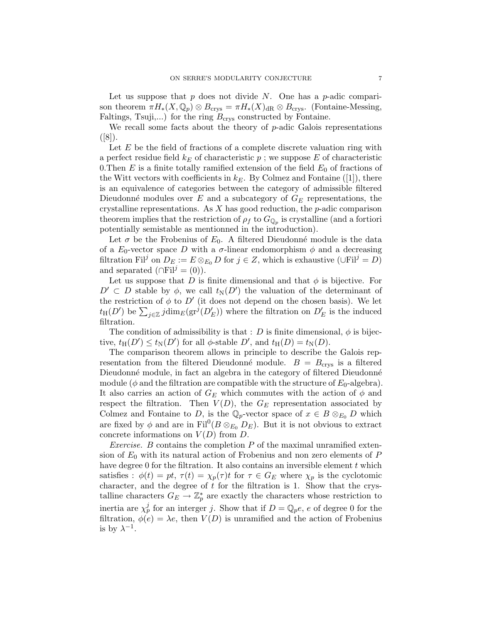Let us suppose that  $p$  does not divide  $N$ . One has a  $p$ -adic comparison theorem  $\pi H_*(X, \mathbb{Q}_p) \otimes B_{\text{crys}} = \pi H_*(X)_{\text{dR}} \otimes B_{\text{crys}}.$  (Fontaine-Messing, Faltings, Tsuji,...) for the ring  $B_{\text{crys}}$  constructed by Fontaine.

We recall some facts about the theory of  $p$ -adic Galois representations  $([8])$ .

Let  $E$  be the field of fractions of a complete discrete valuation ring with a perfect residue field  $k_E$  of characteristic p; we suppose E of characteristic 0. Then  $E$  is a finite totally ramified extension of the field  $E_0$  of fractions of the Witt vectors with coefficients in  $k_E$ . By Colmez and Fontaine ([1]), there is an equivalence of categories between the category of admissible filtered Dieudonné modules over E and a subcategory of  $G_E$  representations, the crystalline representations. As  $X$  has good reduction, the  $p$ -adic comparison theorem implies that the restriction of  $\rho_f$  to  $G_{\mathbb{Q}_p}$  is crystalline (and a fortiori potentially semistable as mentionned in the introduction).

Let  $\sigma$  be the Frobenius of  $E_0$ . A filtered Dieudonné module is the data of a  $E_0$ -vector space D with a  $\sigma$ -linear endomorphism  $\phi$  and a decreasing filtration Fil<sup>j</sup> on  $D_E := E \otimes_{E_0} D$  for  $j \in Z$ , which is exhaustive (∪Fil<sup>j</sup> = D) and separated ( $\cap$ Fil $^j = (0)$ ).

Let us suppose that D is finite dimensional and that  $\phi$  is bijective. For  $D' \subset D$  stable by  $\phi$ , we call  $t_N(D')$  the valuation of the determinant of the restriction of  $\phi$  to  $D'$  (it does not depend on the chosen basis). We let  $t_{\text{H}}(D')$  be  $\sum_{j\in\mathbb{Z}}j\dim_E(\text{gr}^j(D'_E))$  where the filtration on  $D'_E$  is the induced filtration.

The condition of admissibility is that : D is finite dimensional,  $\phi$  is bijective,  $t_{\text{H}}(D') \le t_{\text{N}}(D')$  for all  $\phi$ -stable  $D'$ , and  $t_{\text{H}}(D) = t_{\text{N}}(D)$ .

The comparison theorem allows in principle to describe the Galois representation from the filtered Dieudonné module.  $B = B<sub>crys</sub>$  is a filtered Dieudonné module, in fact an algebra in the category of filtered Dieudonné module ( $\phi$  and the filtration are compatible with the structure of  $E_0$ -algebra). It also carries an action of  $G_E$  which commutes with the action of  $\phi$  and respect the filtration. Then  $V(D)$ , the  $G_E$  representation associated by Colmez and Fontaine to D, is the  $\mathbb{Q}_p$ -vector space of  $x \in B \otimes_{E_0} D$  which are fixed by  $\phi$  and are in Fil<sup>0</sup>( $B \otimes_{E_0} D_E$ ). But it is not obvious to extract concrete informations on  $V(D)$  from D.

*Exercise.* B contains the completion  $P$  of the maximal unramified extension of  $E_0$  with its natural action of Frobenius and non zero elements of P have degree 0 for the filtration. It also contains an inversible element  $t$  which satisfies :  $\phi(t) = pt$ ,  $\tau(t) = \chi_p(\tau)t$  for  $\tau \in G_E$  where  $\chi_p$  is the cyclotomic character, and the degree of  $t$  for the filtration is 1. Show that the crystalline characters  $G_E \to \mathbb{Z}_p^*$  are exactly the characters whose restriction to inertia are  $\chi_p^j$  for an interger j. Show that if  $D = \mathbb{Q}_p e$ , e of degree 0 for the filtration,  $\phi(e) = \lambda e$ , then  $V(D)$  is unramified and the action of Frobenius is by  $\lambda^{-1}$ .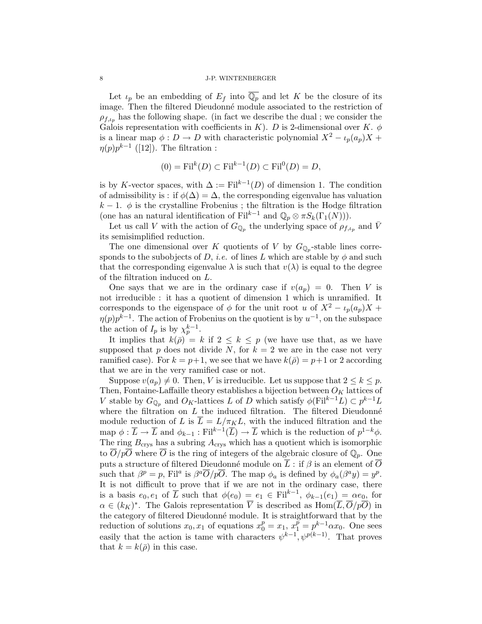Let  $\iota_p$  be an embedding of  $E_f$  into  $\overline{\mathbb{Q}_p}$  and let K be the closure of its image. Then the filtered Dieudonné module associated to the restriction of  $\rho_{f,\iota_n}$  has the following shape. (in fact we describe the dual; we consider the Galois representation with coefficients in K). D is 2-dimensional over K.  $\phi$ is a linear map  $\phi : D \to D$  with characteristic polynomial  $X^2 - \iota_p(a_p)X +$  $\eta(p)p^{k-1}$  ([12]). The filtration :

$$
(0) = \mathrm{Fil}^k(D) \subset \mathrm{Fil}^{k-1}(D) \subset \mathrm{Fil}^0(D) = D,
$$

is by K-vector spaces, with  $\Delta := \text{Fil}^{k-1}(D)$  of dimension 1. The condition of admissibility is : if  $\phi(\Delta) = \Delta$ , the corresponding eigenvalue has valuation  $k-1$ .  $\phi$  is the crystalline Frobenius; the filtration is the Hodge filtration (one has an natural identification of Fil<sup>k-1</sup> and  $\mathbb{Q}_p \otimes \pi S_k(\Gamma_1(N))$ ).

Let us call V with the action of  $G_{\mathbb{Q}_p}$  the underlying space of  $\rho_{f,\iota_p}$  and  $\bar{V}$ its semisimplified reduction.

The one dimensional over K quotients of V by  $G_{\mathbb{Q}_p}$ -stable lines corresponds to the subobjects of D, *i.e.* of lines L which are stable by  $\phi$  and such that the corresponding eigenvalue  $\lambda$  is such that  $v(\lambda)$  is equal to the degree of the filtration induced on L.

One says that we are in the ordinary case if  $v(a_p) = 0$ . Then V is not irreducible : it has a quotient of dimension 1 which is unramified. It corresponds to the eigenspace of  $\phi$  for the unit root u of  $X^2 - \iota_p(a_p)X +$  $\eta(p)p^{k-1}$ . The action of Frobenius on the quotient is by  $u^{-1}$ , on the subspace the action of  $I_p$  is by  $\chi_p^{k-1}$ .

It implies that  $k(\bar{\rho}) = k$  if  $2 \leq k \leq p$  (we have use that, as we have supposed that p does not divide N, for  $k = 2$  we are in the case not very ramified case). For  $k = p+1$ , we see that we have  $k(\bar{p}) = p+1$  or 2 according that we are in the very ramified case or not.

Suppose  $v(a_p) \neq 0$ . Then, V is irreducible. Let us suppose that  $2 \leq k \leq p$ . Then, Fontaine-Laffaille theory establishes a bijection between  $O_K$  lattices of V stable by  $G_{\mathbb{Q}_p}$  and  $O_K$ -lattices L of D which satisfy  $\phi(\mathrm{Fil}^{k-1}L) \subset p^{k-1}L$ where the filtration on  $L$  the induced filtration. The filtered Dieudonné module reduction of L is  $\overline{L} = L/\pi_K L$ , with the induced filtration and the map  $\phi: \overline{L} \to \overline{L}$  and  $\phi_{k-1}: \text{Fil}^{k-1}(\overline{L}) \to \overline{L}$  which is the reduction of  $p^{1-k}\phi$ . The ring  $B_{\rm crvs}$  has a subring  $A_{\rm crvs}$  which has a quotient which is isomorphic to  $\overline{O}/p\overline{O}$  where  $\overline{O}$  is the ring of integers of the algebraic closure of  $\mathbb{Q}_p$ . One puts a structure of filtered Dieudonné module on  $\overline{L}$  : if  $\beta$  is an element of  $\overline{O}$ such that  $\beta^p = p$ , Fil<sup>a</sup> is  $\beta^a \overline{O}/p\overline{O}$ . The map  $\phi_a$  is defined by  $\phi_a(\beta^a y) = y^p$ . It is not difficult to prove that if we are not in the ordinary case, there is a basis  $e_0, e_1$  of  $\overline{L}$  such that  $\phi(e_0) = e_1 \in \text{Fil}^{k-1}$ ,  $\phi_{k-1}(e_1) = \alpha e_0$ , for  $\alpha \in (k_K)^*$ . The Galois representation  $\overline{V}$  is described as  $\text{Hom}(\overline{L}, \overline{O}/p\overline{O})$  in the category of filtered Dieudonné module. It is straightforward that by the reduction of solutions  $x_0, x_1$  of equations  $x_0^p = x_1, x_1^p = p^{k-1} \alpha x_0$ . One sees easily that the action is tame with characters  $\psi^{k-1}, \psi^{p(k-1)}$ . That proves that  $k = k(\bar{\rho})$  in this case.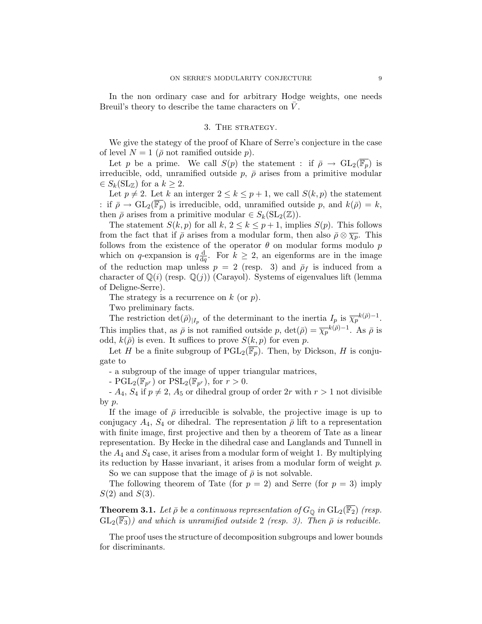In the non ordinary case and for arbitrary Hodge weights, one needs Breuil's theory to describe the tame characters on  $V$ .

## 3. The strategy.

We give the stategy of the proof of Khare of Serre's conjecture in the case of level  $N = 1$  ( $\bar{\rho}$  not ramified outside  $p$ ).

Let p be a prime. We call  $S(p)$  the statement : if  $\bar{\rho} \to GL_2(\overline{\mathbb{F}_p})$  is irreducible, odd, unramified outside  $p, \bar{p}$  arises from a primitive modular  $\in S_k(SL_{\mathbb{Z}})$  for a  $k \geq 2$ .

Let  $p \neq 2$ . Let k an interger  $2 \leq k \leq p+1$ , we call  $S(k, p)$  the statement : if  $\bar{\rho} \to GL_2(\mathbb{F}_p)$  is irreducible, odd, unramified outside p, and  $k(\bar{\rho}) = k$ , then  $\bar{\rho}$  arises from a primitive modular  $\in S_k(SL_2(\mathbb{Z}))$ .

The statement  $S(k, p)$  for all  $k, 2 \le k \le p+1$ , implies  $S(p)$ . This follows from the fact that if  $\bar{\rho}$  arises from a modular form, then also  $\bar{\rho} \otimes \overline{\chi_p}$ . This follows from the existence of the operator  $\theta$  on modular forms modulo p which on q-expansion is  $q\frac{d}{dt}$  $\frac{d}{dq}$ . For  $k \geq 2$ , an eigenforms are in the image of the reduction map unless  $p = 2$  (resp. 3) and  $\bar{p}_f$  is induced from a character of  $\mathbb{Q}(i)$  (resp.  $\mathbb{Q}(j)$ ) (Carayol). Systems of eigenvalues lift (lemma of Deligne-Serre).

The strategy is a recurrence on  $k$  (or  $p$ ).

Two preliminary facts.

The restriction  $\det(\bar{\rho})_{|I_p}$  of the determinant to the inertia  $I_p$  is  $\bar{\chi}_p^{-k(\bar{\rho})-1}$ . This implies that, as  $\bar{\rho}$  is not ramified outside p,  $\det(\bar{\rho}) = \bar{\chi}_p^{-k(\bar{\rho})-1}$ . As  $\bar{\rho}$  is odd,  $k(\bar{\rho})$  is even. It suffices to prove  $S(k, p)$  for even p.

Let H be a finite subgroup of  $\text{PGL}_2(\mathbb{F}_p)$ . Then, by Dickson, H is conjugate to

- a subgroup of the image of upper triangular matrices,

-  $\text{PGL}_2(\mathbb{F}_{p^r})$  or  $\text{PSL}_2(\mathbb{F}_{p^r}),$  for  $r > 0$ .

-  $A_4$ ,  $S_4$  if  $p \neq 2$ ,  $A_5$  or dihedral group of order  $2r$  with  $r > 1$  not divisible by  $p$ .

If the image of  $\bar{\rho}$  irreducible is solvable, the projective image is up to conjugacy  $A_4$ ,  $S_4$  or dihedral. The representation  $\bar{\rho}$  lift to a representation with finite image, first projective and then by a theorem of Tate as a linear representation. By Hecke in the dihedral case and Langlands and Tunnell in the  $A_4$  and  $S_4$  case, it arises from a modular form of weight 1. By multiplying its reduction by Hasse invariant, it arises from a modular form of weight  $p$ .

So we can suppose that the image of  $\bar{\rho}$  is not solvable.

The following theorem of Tate (for  $p = 2$ ) and Serre (for  $p = 3$ ) imply  $S(2)$  and  $S(3)$ .

**Theorem 3.1.** Let  $\bar{\rho}$  be a continuous representation of  $G_{\mathbb{Q}}$  in  $GL_2(\mathbb{F}_2)$  (resp.  $GL_2(\overline{\mathbb{F}_3})$ ) and which is unramified outside 2 (resp. 3). Then  $\overline{\rho}$  is reducible.

The proof uses the structure of decomposition subgroups and lower bounds for discriminants.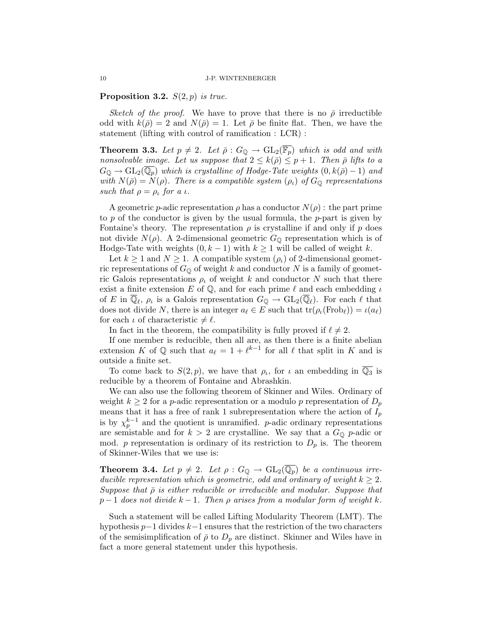**Proposition 3.2.**  $S(2, p)$  is true.

Sketch of the proof. We have to prove that there is no  $\bar{\rho}$  irreductible odd with  $k(\bar{\rho}) = 2$  and  $N(\bar{\rho}) = 1$ . Let  $\bar{\rho}$  be finite flat. Then, we have the statement (lifting with control of ramification : LCR) :

**Theorem 3.3.** Let  $p \neq 2$ . Let  $\bar{\rho}: G_{\mathbb{Q}} \to GL_2(\mathbb{F}_p)$  which is odd and with nonsolvable image. Let us suppose that  $2 \leq k(\bar{\rho}) \leq p+1$ . Then  $\bar{\rho}$  lifts to a  $G_{\mathbb{Q}} \to GL_2(\mathbb{Q}_p)$  which is crystalline of Hodge-Tate weights  $(0, k(\bar{\rho}) - 1)$  and with  $N(\bar{\rho}) = N(\rho)$ . There is a compatible system  $(\rho_{\iota})$  of  $G_{\mathbb{Q}}$  representations such that  $\rho = \rho_{\iota}$  for a  $\iota$ .

A geometric *p*-adic representation  $\rho$  has a conductor  $N(\rho)$ : the part prime to p of the conductor is given by the usual formula, the p-part is given by Fontaine's theory. The representation  $\rho$  is crystalline if and only if  $p$  does not divide  $N(\rho)$ . A 2-dimensional geometric  $G_{\mathbb{Q}}$  representation which is of Hodge-Tate with weights  $(0, k - 1)$  with  $k \ge 1$  will be called of weight k.

Let  $k \geq 1$  and  $N \geq 1$ . A compatible system  $(\rho_{\iota})$  of 2-dimensional geometric representations of  $G_{\mathbb{Q}}$  of weight k and conductor N is a family of geometric Galois representations  $\rho_k$  of weight k and conductor N such that there exist a finite extension E of  $\mathbb Q$ , and for each prime  $\ell$  and each embedding  $\iota$ of E in  $\overline{\mathbb{Q}}_{\ell}, \rho_{\ell}$  is a Galois representation  $G_{\mathbb{Q}} \to GL_2(\overline{\mathbb{Q}}_{\ell}).$  For each  $\ell$  that does not divide N, there is an integer  $a_\ell \in E$  such that  $\text{tr}(\rho_\iota(\text{Frob}_\ell)) = \iota(a_\ell)$ for each  $\iota$  of characteristic  $\neq \ell$ .

In fact in the theorem, the compatibility is fully proved if  $\ell \neq 2$ .

If one member is reducible, then all are, as then there is a finite abelian extension K of  $\mathbb Q$  such that  $a_\ell = 1 + \ell^{k-1}$  for all  $\ell$  that split in K and is outside a finite set.

To come back to  $S(2, p)$ , we have that  $\rho_{\iota}$ , for  $\iota$  an embedding in  $\overline{\mathbb{Q}_3}$  is reducible by a theorem of Fontaine and Abrashkin.

We can also use the following theorem of Skinner and Wiles. Ordinary of weight  $k \geq 2$  for a p-adic representation or a modulo p representation of  $D_p$ means that it has a free of rank 1 subrepresentation where the action of  $I_p$ is by  $\chi_p^{k-1}$  and the quotient is unramified. p-adic ordinary representations are semistable and for  $k > 2$  are crystalline. We say that a  $G_{\mathbb{Q}}$  p-adic or mod. p representation is ordinary of its restriction to  $D_p$  is. The theorem of Skinner-Wiles that we use is:

**Theorem 3.4.** Let  $p \neq 2$ . Let  $\rho : G_{\mathbb{Q}} \to GL_2(\overline{\mathbb{Q}_p})$  be a continuous irreducible representation which is geometric, odd and ordinary of weight  $k \geq 2$ . Suppose that  $\bar{\rho}$  is either reducible or irreducible and modular. Suppose that  $p-1$  does not divide  $k-1$ . Then  $\rho$  arises from a modular form of weight k.

Such a statement will be called Lifting Modularity Theorem (LMT). The hypothesis p−1 divides k−1 ensures that the restriction of the two characters of the semisimplification of  $\bar{\rho}$  to  $D_p$  are distinct. Skinner and Wiles have in fact a more general statement under this hypothesis.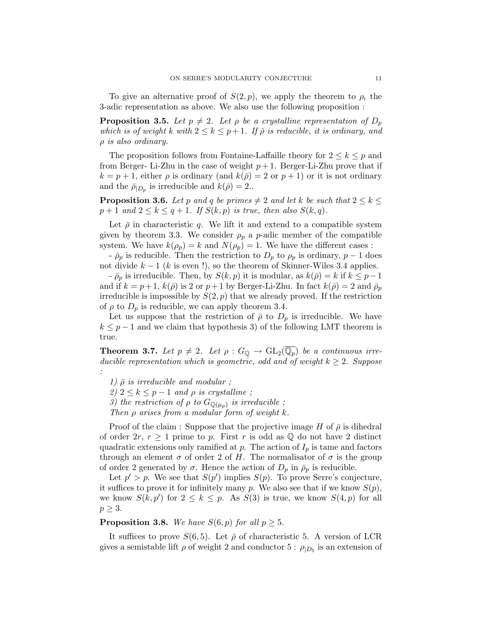To give an alternative proof of  $S(2, p)$ , we apply the theorem to  $\rho_t$  the 3-adic representation as above. We also use the following proposition :

**Proposition 3.5.** Let  $p \neq 2$ . Let  $\rho$  be a crystalline representation of  $D_p$ which is of weight k with  $2 \leq k \leq p+1$ . If  $\bar{\rho}$  is reducible, it is ordinary, and  $\rho$  is also ordinary.

The proposition follows from Fontaine-Laffaille theory for  $2 \leq k \leq p$  and from Berger- Li-Zhu in the case of weight  $p+1$ . Berger-Li-Zhu prove that if  $k = p + 1$ , either  $\rho$  is ordinary (and  $k(\bar{\rho}) = 2$  or  $p + 1$ ) or it is not ordinary and the  $\bar{\rho}_{|D_p}$  is irreducible and  $k(\bar{\rho})=2...$ 

**Proposition 3.6.** Let p and q be primes  $\neq 2$  and let k be such that  $2 \leq k \leq 3$  $p+1$  and  $2 \leq k \leq q+1$ . If  $S(k, p)$  is true, then also  $S(k, q)$ .

Let  $\bar{\rho}$  in characteristic q. We lift it and extend to a compatible system given by theorem 3.3. We consider  $\rho_p$  a p-adic member of the compatible system. We have  $k(\rho_p) = k$  and  $N(\rho_p) = 1$ . We have the different cases:

 $-\bar{\rho}_p$  is reducible. Then the restriction to  $D_p$  to  $\rho_p$  is ordinary,  $p-1$  does not divide  $k - 1$  (k is even !), so the theorem of Skinner-Wiles 3.4 applies.

 $-\bar{\rho}_p$  is irreducible. Then, by  $S(k, p)$  it is modular, as  $k(\bar{\rho}) = k$  if  $k \leq p-1$ and if  $k = p+1$ ,  $k(\bar{\rho})$  is 2 or  $p+1$  by Berger-Li-Zhu. In fact  $k(\bar{\rho}) = 2$  and  $\bar{\rho}_p$ irreducible is impossible by  $S(2, p)$  that we already proved. If the restriction of  $\rho$  to  $D_p$  is reducible, we can apply theorem 3.4.

Let us suppose that the restriction of  $\bar{\rho}$  to  $D_p$  is irreducible. We have  $k \leq p-1$  and we claim that hypothesis 3) of the following LMT theorem is true.

**Theorem 3.7.** Let  $p \neq 2$ . Let  $\rho : G_{\mathbb{Q}} \to GL_2(\overline{\mathbb{Q}_p})$  be a continuous irreducible representation which is geometric, odd and of weight  $k \geq 2$ . Suppose :

1)  $\bar{\rho}$  is irreducible and modular ;

2)  $2 \leq k \leq p-1$  and  $\rho$  is crystalline;

3) the restriction of  $\rho$  to  $G_{\mathbb{Q}(\mu_p)}$  is irreducible;

Then  $\rho$  arises from a modular form of weight k.

Proof of the claim : Suppose that the projective image H of  $\bar{\rho}$  is dihedral of order  $2r, r \ge 1$  prime to p. First r is odd as Q do not have 2 distinct quadratic extensions only ramified at  $p$ . The action of  $I_p$  is tame and factors through an element  $\sigma$  of order 2 of H. The normalisator of  $\sigma$  is the group of order 2 generated by  $\sigma$ . Hence the action of  $D_p$  in  $\bar{\rho}_p$  is reducible.

Let  $p' > p$ . We see that  $S(p')$  implies  $S(p)$ . To prove Serre's conjecture, it suffices to prove it for infinitely many p. We also see that if we know  $S(p)$ , we know  $S(k, p')$  for  $2 \leq k \leq p$ . As  $S(3)$  is true, we know  $S(4, p)$  for all  $p \geq 3$ .

**Proposition 3.8.** We have  $S(6, p)$  for all  $p \ge 5$ .

It suffices to prove  $S(6, 5)$ . Let  $\bar{\rho}$  of characteristic 5. A version of LCR gives a semistable lift  $\rho$  of weight 2 and conductor 5:  $\rho_{|D_5}$  is an extension of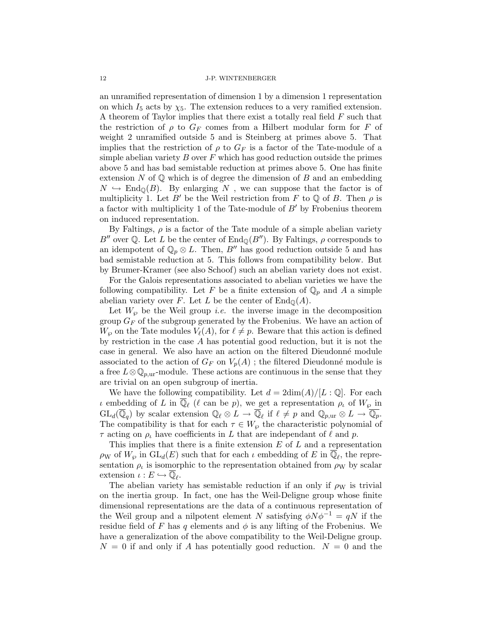an unramified representation of dimension 1 by a dimension 1 representation on which  $I_5$  acts by  $\chi_5$ . The extension reduces to a very ramified extension. A theorem of Taylor implies that there exist a totally real field F such that the restriction of  $\rho$  to  $G_F$  comes from a Hilbert modular form for F of weight 2 unramified outside 5 and is Steinberg at primes above 5. That implies that the restriction of  $\rho$  to  $G_F$  is a factor of the Tate-module of a simple abelian variety  $B$  over  $F$  which has good reduction outside the primes above 5 and has bad semistable reduction at primes above 5. One has finite extension N of  $\mathbb Q$  which is of degree the dimension of B and an embedding  $N \hookrightarrow \text{End}_{\mathbb{Q}}(B)$ . By enlarging N, we can suppose that the factor is of multiplicity 1. Let B' be the Weil restriction from F to Q of B. Then  $\rho$  is a factor with multiplicity 1 of the Tate-module of  $B'$  by Frobenius theorem on induced representation.

By Faltings,  $\rho$  is a factor of the Tate module of a simple abelian variety  $B''$  over Q. Let L be the center of  $\text{End}_{\mathbb{Q}}(B'')$ . By Faltings,  $\rho$  corresponds to an idempotent of  $\mathbb{Q}_p \otimes L$ . Then, B'' has good reduction outside 5 and has bad semistable reduction at 5. This follows from compatibility below. But by Brumer-Kramer (see also Schoof) such an abelian variety does not exist.

For the Galois representations associated to abelian varieties we have the following compatibility. Let F be a finite extension of  $\mathbb{Q}_p$  and A a simple abelian variety over F. Let L be the center of  $\text{End}_{\mathbb{Q}}(A)$ .

Let  $W_{\varphi}$  be the Weil group *i.e.* the inverse image in the decomposition group  $G_F$  of the subgroup generated by the Frobenius. We have an action of  $W_{\varphi}$  on the Tate modules  $V_{\ell}(A)$ , for  $\ell \neq p$ . Beware that this action is defined by restriction in the case A has potential good reduction, but it is not the case in general. We also have an action on the filtered Dieudonn´e module associated to the action of  $G_F$  on  $V_p(A)$ ; the filtered Dieudonné module is a free  $L \otimes \mathbb{Q}_{p,\text{ur}}$ -module. These actions are continuous in the sense that they are trivial on an open subgroup of inertia.

We have the following compatibility. Let  $d = 2\dim(A)/[L:\mathbb{Q}]$ . For each  $\iota$  embedding of L in  $\overline{\mathbb{Q}}_{\ell}$  ( $\ell$  can be p), we get a representation  $\rho_{\iota}$  of  $W_{\wp}$  in  $GL_d(\overline{\mathbb{Q}}_q)$  by scalar extension  $\mathbb{Q}_\ell \otimes L \to \overline{\mathbb{Q}}_\ell$  if  $\ell \neq p$  and  $\mathbb{Q}_{p,\text{ur}} \otimes L \to \overline{\mathbb{Q}_p}$ . The compatibility is that for each  $\tau \in W_{\varphi}$  the characteristic polynomial of  $\tau$  acting on  $\rho_t$  have coefficients in L that are independant of  $\ell$  and p.

This implies that there is a finite extension  $E$  of  $L$  and a representation  $\rho_W$  of  $W_\wp$  in  $GL_d(E)$  such that for each  $\iota$  embedding of E in  $\overline{\mathbb{Q}}_{\ell}$ , the representation  $\rho_t$  is isomorphic to the representation obtained from  $\rho_W$  by scalar extension  $\iota : E \hookrightarrow \overline{\mathbb{Q}}_{\ell}$ .

The abelian variety has semistable reduction if an only if  $\rho_W$  is trivial on the inertia group. In fact, one has the Weil-Deligne group whose finite dimensional representations are the data of a continuous representation of the Weil group and a nilpotent element N satisfying  $\phi N \phi^{-1} = qN$  if the residue field of F has q elements and  $\phi$  is any lifting of the Frobenius. We have a generalization of the above compatibility to the Weil-Deligne group.  $N = 0$  if and only if A has potentially good reduction.  $N = 0$  and the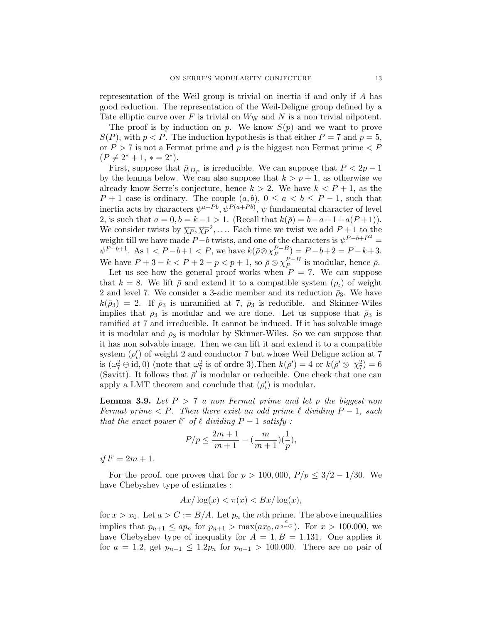representation of the Weil group is trivial on inertia if and only if A has good reduction. The representation of the Weil-Deligne group defined by a Tate elliptic curve over F is trivial on  $W_W$  and N is a non trivial nilpotent.

The proof is by induction on p. We know  $S(p)$  and we want to prove  $S(P)$ , with  $p < P$ . The induction hypothesis is that either  $P = 7$  and  $p = 5$ , or  $P > 7$  is not a Fermat prime and p is the biggest non Fermat prime  $\langle P \rangle$  $(P \neq 2^* + 1, * = 2^*).$ 

First, suppose that  $\bar{\rho}_{|D_P}$  is irreducible. We can suppose that  $P < 2p - 1$ by the lemma below. We can also suppose that  $k > p + 1$ , as otherwise we already know Serre's conjecture, hence  $k > 2$ . We have  $k < P + 1$ , as the  $P + 1$  case is ordinary. The couple  $(a, b)$ ,  $0 \le a < b \le P - 1$ , such that inertia acts by characters  $\psi^{a+Pb}, \psi^{P(a+Pb)}, \psi$  fundamental character of level 2, is such that  $a = 0, b = k-1 > 1$ . (Recall that  $k(\bar{\rho}) = b-a+1+a(P+1)$ ). We consider twists by  $\overline{\chi_P}, \overline{\chi_P}^2, \ldots$  Each time we twist we add  $P+1$  to the weight till we have made  $P-b$  twists, and one of the characters is  $\psi^{P-b+P^2} =$  $\psi^{P-b+1}$ . As  $1 < P-b+1 < P$ , we have  $k(\bar{\rho} \otimes \chi_P^{P-B})$  $\binom{P-B}{P} = P-b+2 = P-k+3.$ We have  $P+3-k < P+2-p < p+1$ , so  $\bar{p} \otimes \chi_P^{P-B}$  $_{P}^{P-B}$  is modular, hence  $\bar{\rho}$ .

Let us see how the general proof works when  $P = 7$ . We can suppose that  $k = 8$ . We lift  $\bar{\rho}$  and extend it to a compatible system  $(\rho_{\mu})$  of weight 2 and level 7. We consider a 3-adic member and its reduction  $\bar{\rho}_3$ . We have  $k(\bar{\rho}_3) = 2$ . If  $\bar{\rho}_3$  is unramified at 7,  $\bar{\rho}_3$  is reducible. and Skinner-Wiles implies that  $\rho_3$  is modular and we are done. Let us suppose that  $\bar{\rho}_3$  is ramified at 7 and irreducible. It cannot be induced. If it has solvable image it is modular and  $\rho_3$  is modular by Skinner-Wiles. So we can suppose that it has non solvable image. Then we can lift it and extend it to a compatible system $(\rho'_{\iota})$  of weight 2 and conductor 7 but whose Weil Deligne action at 7 is  $(\omega_7^2 \oplus id, 0)$  (note that  $\omega_7^2$  is of ordre 3). Then  $k(\bar{\rho}') = 4$  or  $k(\bar{\rho}' \otimes \bar{\chi}_7^2) = 6$ (Savitt). It follows that  $\bar{\rho}$  is modular or reducible. One check that one can apply a LMT theorem and conclude that  $(\rho'_i)$  is modular.

**Lemma 3.9.** Let  $P > 7$  a non Fermat prime and let p the biggest non Fermat prime  $\lt P$ . Then there exist an odd prime  $\ell$  dividing  $P-1$ , such that the exact power  $\ell^r$  of  $\ell$  dividing  $P - 1$  satisfy :

$$
P/p \leq \frac{2m+1}{m+1} - (\frac{m}{m+1})(\frac{1}{p}),
$$

if  $l^r = 2m + 1$ .

For the proof, one proves that for  $p > 100,000$ ,  $P/p \leq 3/2 - 1/30$ . We have Chebyshev type of estimates :

$$
Ax/\log(x) < \pi(x) < Bx/\log(x),
$$

for  $x > x_0$ . Let  $a > C := B/A$ . Let  $p_n$  the *n*th prime. The above inequalities implies that  $p_{n+1} \leq ap_n$  for  $p_{n+1} > \max(ax_0, a^{\frac{a}{a-c}})$ . For  $x > 100.000$ , we have Chebyshev type of inequality for  $A = 1, B = 1.131$ . One applies it for  $a = 1.2$ , get  $p_{n+1} \le 1.2p_n$  for  $p_{n+1} > 100.000$ . There are no pair of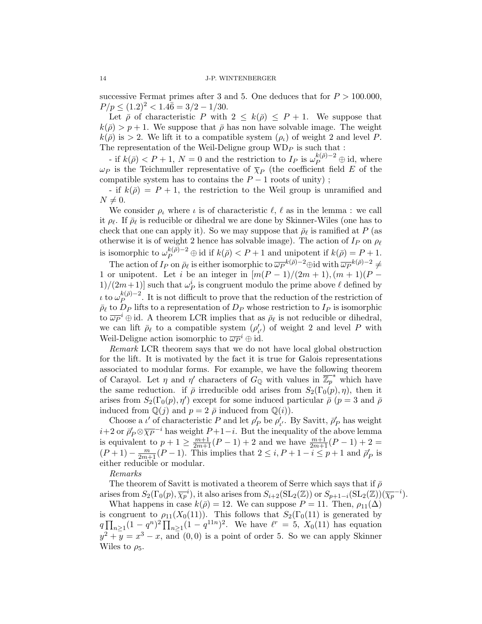successive Fermat primes after 3 and 5. One deduces that for  $P > 100.000$ ,  $P/p \leq (1.2)^2 < 1.4\overline{6} = 3/2 - 1/30.$ 

Let  $\bar{\rho}$  of characteristic P with  $2 \leq k(\bar{\rho}) \leq P+1$ . We suppose that  $k(\bar{\rho}) > p + 1$ . We suppose that  $\bar{\rho}$  has non have solvable image. The weight  $k(\bar{\rho})$  is > 2. We lift it to a compatible system  $(\rho_L)$  of weight 2 and level P. The representation of the Weil-Deligne group  $WD_P$  is such that :

- if  $k(\bar{\rho}) < P + 1$ ,  $N = 0$  and the restriction to  $I_P$  is  $\omega_P^{k(\bar{\rho})-2} \oplus id$ , where  $\omega_P$  is the Teichmuller representative of  $\overline{\chi}_P$  (the coefficient field E of the compatible system has to contains the  $P-1$  roots of unity);

- if  $k(\bar{\rho}) = P + 1$ , the restriction to the Weil group is unramified and  $N \neq 0$ .

We consider  $\rho_{\iota}$  where  $\iota$  is of characteristic  $\ell, \ell$  as in the lemma : we call it  $\rho_{\ell}$ . If  $\bar{\rho}_{\ell}$  is reducible or dihedral we are done by Skinner-Wiles (one has to check that one can apply it). So we may suppose that  $\bar{\rho}_{\ell}$  is ramified at P (as otherwise it is of weight 2 hence has solvable image). The action of  $I_P$  on  $\rho_\ell$ is isomorphic to  $\omega_P^{k(\bar{p})-2} \oplus \text{id}$  if  $k(\bar{p}) < P + 1$  and unipotent if  $k(\bar{p}) = P + 1$ .

The action of  $I_P$  on  $\bar{\rho}_{\ell}$  is either isomorphic to  $\bar{\omega}_P^{-k(\bar{\rho})-2}$   $\oplus$  id with  $\bar{\omega}_P^{-k(\bar{\rho})-2}$   $\neq$ 1 or unipotent. Let i be an integer in  $\frac{m(p-1)}{2m+1}$ ,  $\frac{m+1}{P}$  $1)/(2m+1)]$  such that  $\omega_P^i$  is congruent modulo the prime above  $\ell$  defined by ι to  $ω_P^{k( {\bar {\rho} } ) -2}$  $P_P^{k(p)-2}$ . It is not difficult to prove that the reduction of the restriction of  $\bar{\rho}_{\ell}$  to  $D_P$  lifts to a representation of  $D_P$  whose restriction to  $I_P$  is isomorphic to  $\overline{\omega_P}^i \oplus id$ . A theorem LCR implies that as  $\overline{\rho}_{\ell}$  is not reducible or dihedral, we can lift  $\bar{\rho}_{\ell}$  to a compatible system  $(\rho'_{\iota})$  of weight 2 and level P with Weil-Deligne action isomorphic to  $\overline{\omega_P}^i \oplus id$ .

Remark LCR theorem says that we do not have local global obstruction for the lift. It is motivated by the fact it is true for Galois representations associated to modular forms. For example, we have the following theorem of Carayol. Let  $\eta$  and  $\eta'$  characters of  $G_{\mathbb{Q}}$  with values in  $\overline{\mathbb{Z}_p}^*$  which have the same reduction. if  $\bar{\rho}$  irreducible odd arises from  $S_2(\Gamma_0(p), \eta)$ , then it arises from  $S_2(\Gamma_0(p), \eta')$  except for some induced particular  $\bar{\rho}$  ( $p = 3$  and  $\bar{\rho}$ ) induced from  $\mathbb{Q}(j)$  and  $p = 2 \bar{\rho}$  induced from  $\mathbb{Q}(i)$ .

Choose a  $\iota'$  of characteristic  $P$  and let  $\rho'_P$  be  $\rho'_{\iota'}$ . By Savitt,  $\bar{\rho}'_P$  has weight Choose a *t* of characteristic *I* and let  $p_p$  be  $p_t$ . By Bavitt,  $p_p$  has weight  $i+2$  or  $\bar{p}'_p \otimes \bar{\chi}_p^{-i}$  has weight  $P+1-i$ . But the inequality of the above lemma is equivalent to  $p + 1 \ge \frac{m+1}{2m+1}(P-1) + 2$  and we have  $\frac{m+1}{2m+1}(P-1) + 2 =$  $(P+1) - \frac{m}{2m+1}(P-1)$ . This implies that  $2 \leq i, P+1-i \leq p+1$  and  $\bar{\rho}_P'$  is either reducible or modular.

Remarks

The theorem of Savitt is motivated a theorem of Serre which says that if  $\bar{\rho}$ arises from  $S_2(\Gamma_0(p), \overline{\chi_p}^i)$ , it also arises from  $S_{i+2}(\mathrm{SL}_2(\mathbb{Z}))$  or  $S_{p+1-i}(\mathrm{SL}_2(\mathbb{Z}))(\overline{\chi_p}^{-i}).$ 

What happens in case  $k(\bar{\rho}) = 12$ . We can suppose  $P = 11$ . Then,  $\rho_{11}(\Delta)$ is congruent to  $\rho_{11}(X_0(11))$ . This follows that  $S_2(\Gamma_0(11))$  is generated by  $q \prod_{n\geq 1} (1 - q^n)^2 \prod_{n\geq 1} (1 - q^{11n})^2$ . We have  $\ell^r = 5$ ,  $X_0(11)$  has equation  $y^2 + y = x^3 - x$ , and  $(0,0)$  is a point of order 5. So we can apply Skinner Wiles to  $\rho_5$ .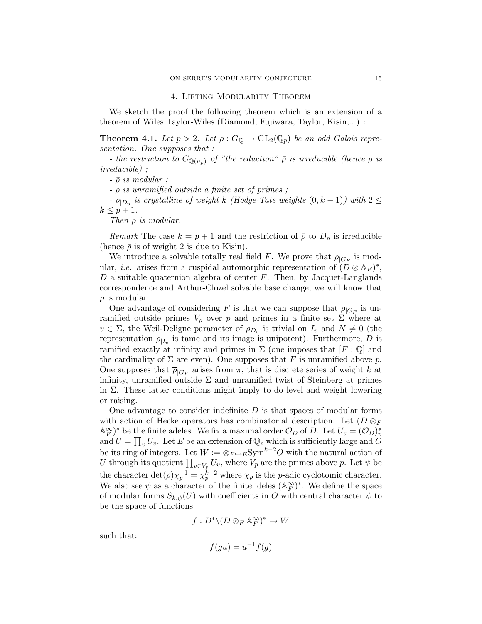#### 4. Lifting Modularity Theorem

We sketch the proof the following theorem which is an extension of a theorem of Wiles Taylor-Wiles (Diamond, Fujiwara, Taylor, Kisin,...) :

**Theorem 4.1.** Let  $p > 2$ . Let  $\rho : G_{\mathbb{Q}} \to GL_2(\overline{\mathbb{Q}_p})$  be an odd Galois representation. One supposes that :

- the restriction to  $G_{\mathbb{Q}(\mu_n)}$  of "the reduction"  $\bar{\rho}$  is irreducible (hence  $\rho$  is irreducible) ;

 $- \bar{\rho}$  is modular;

 $\rho$  is unramified outside a finite set of primes ;

 $\rho_{|D_p}$  is crystalline of weight k (Hodge-Tate weights  $(0, k - 1)$ ) with  $2 \leq$  $k \leq p+1$ .

Then  $\rho$  is modular.

Remark The case  $k = p + 1$  and the restriction of  $\bar{\rho}$  to  $D_p$  is irreducible (hence  $\bar{\rho}$  is of weight 2 is due to Kisin).

We introduce a solvable totally real field F. We prove that  $\rho_{|G_F}$  is modular, *i.e.* arises from a cuspidal automorphic representation of  $(D \otimes A_F)^*$ ,  $D$  a suitable quaternion algebra of center  $F$ . Then, by Jacquet-Langlands correspondence and Arthur-Clozel solvable base change, we will know that  $\rho$  is modular.

One advantage of considering F is that we can suppose that  $\rho_{|G_F}$  is unramified outside primes  $V_p$  over p and primes in a finite set  $\Sigma$  where at  $v \in \Sigma$ , the Weil-Deligne parameter of  $\rho_{D_v}$  is trivial on  $I_v$  and  $N \neq 0$  (the representation  $\rho_{|I_v}$  is tame and its image is unipotent). Furthermore, D is ramified exactly at infinity and primes in  $\Sigma$  (one imposes that  $[F: \mathbb{Q}]$  and the cardinality of  $\Sigma$  are even). One supposes that F is unramified above p. One supposes that  $\overline{\rho}_{|G_F}$  arises from  $\pi$ , that is discrete series of weight k at infinity, unramified outside  $\Sigma$  and unramified twist of Steinberg at primes in  $\Sigma$ . These latter conditions might imply to do level and weight lowering or raising.

One advantage to consider indefinite  $D$  is that spaces of modular forms with action of Hecke operators has combinatorial description. Let  $(D \otimes_F$  $\mathbb{A}_F^{\infty})^*$  be the finite adeles. We fix a maximal order  $\mathcal{O}_D$  of  $\overline{D}$ . Let  $U_v = (\mathcal{O}_D)_v^*$ and  $U = \prod_v U_v$ . Let E be an extension of  $\mathbb{Q}_p$  which is sufficiently large and O be its ring of integers. Let  $W := \otimes_{F \hookrightarrow E} \text{Sym}^{k-2}O$  with the natural action of U through its quotient  $\prod_{v \in V_p} U_v$ , where  $V_p$  are the primes above p. Let  $\psi$  be the character  $\det(\rho)\chi_p^{-1} = \chi_p^{k-2}$  where  $\chi_p$  is the *p*-adic cyclotomic character. We also see  $\psi$  as a character of the finite ideles  $(\mathbb{A}_F^{\infty})^*$ . We define the space of modular forms  $S_{k,\psi}(U)$  with coefficients in O with central character  $\psi$  to be the space of functions

$$
f:D^*\backslash(D\otimes_F{\mathbb A}_F^{\infty})^*\to W
$$

such that:

$$
f(gu) = u^{-1}f(g)
$$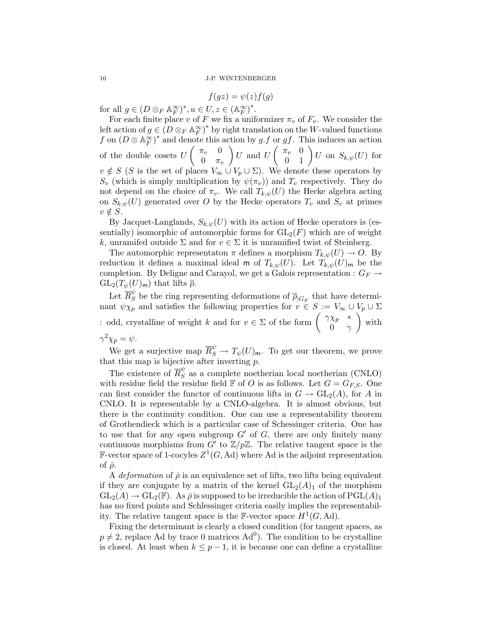$$
f(gz) = \psi(z)f(g)
$$

for all  $g \in (D \otimes_F \mathbb{A}_F^{\infty})^*, u \in U, z \in (\mathbb{A}_F^{\infty})^*$ .

For each finite place v of F we fix a uniformizer  $\pi_v$  of  $F_v$ . We consider the left action of  $g \in (D \otimes_F \mathbb{A}_F^{\infty})^*$  by right translation on the W-valued functions f on  $(D \otimes \mathbb{A}_F^{\infty})^*$  and denote this action by g.f or gf. This induces an action F of the double cosets  $U\begin{pmatrix} \pi_v & 0 \\ 0 & -\pi_v \end{pmatrix}$  $0 \quad \pi_v$  $\left( \begin{array}{cc} U \end{array} \right) U \hspace{1mm} \text{and} \hspace{1mm} U \left( \begin{array}{cc} \pi_v & 0 \ 0 & 1 \end{array} \right) U \hspace{1mm} \text{on} \hspace{1mm} S_{k,\psi}(U) \hspace{1mm} \text{for}$  $v \notin S$  (S is the set of places  $V_{\infty} \cup V_p \cup \Sigma$ ). We denote these operators by  $S_v$  (which is simply multiplication by  $\psi(\pi_v)$ ) and  $T_v$  respectively. They do not depend on the choice of  $\pi_v$ . We call  $T_{k,\psi}(U)$  the Hecke algebra acting on  $S_{k,\psi}(U)$  generated over O by the Hecke operators  $T_v$  and  $S_v$  at primes  $v \notin S$ .

By Jacquet-Langlands,  $S_{k,\psi}(U)$  with its action of Hecke operators is (essentially) isomorphic of automorphic forms for  $GL_2(F)$  which are of weight k, unramifed outside  $\Sigma$  and for  $v \in \Sigma$  it is unramified twist of Steinberg.

The automorphic representaton  $\pi$  defines a morphism  $T_{k,\psi}(U) \to O$ . By reduction it defines a maximal ideal m of  $T_{k,\psi}(U)$ . Let  $T_{k,\psi}(U)$ <sub>m</sub> be the completion. By Deligne and Carayol, we get a Galois representation :  $G_F \rightarrow$  $GL_2(T_{\psi}(U)_{\mathsf{m}})$  that lifts  $\bar{\rho}$ .

Let  $\overline{R}_{S}^{\psi}$  be the ring representing deformations of  $\overline{\rho}_{|G_F}$  that have determinant  $\psi \chi_p$  and satisfies the following properties for  $v \in S := V_\infty \cup V_p \cup \Sigma$ : odd, crystalline of weight k and for  $v \in \Sigma$  of the form  $\begin{pmatrix} \gamma \chi_p & * \\ 0 & \gamma \gamma_p \end{pmatrix}$ 0  $\gamma$ ) with  $\gamma^2 \chi_p = \psi.$ 

We get a surjective map  $\overline{R}_{S}^{\psi} \to T_{\psi}(U)$ <sub>m</sub>. To get our theorem, we prove that this map is bijective after inverting  $p$ .

The existence of  $\overline{R}_{S}^{\psi}$  as a complete noetherian local noetherian (CNLO) with residue field the residue field  $\mathbb F$  of O is as follows. Let  $G = G_{FS}$ . One can first consider the functor of continuous lifts in  $G \to GL_2(A)$ , for A in CNLO. It is representable by a CNLO-algebra. It is almost obvious, but there is the continuity condition. One can use a representability theorem of Grothendieck which is a particular case of Schessinger criteria. One has to use that for any open subgroup  $G'$  of G, there are only finitely many continuous morphisms from  $G'$  to  $\mathbb{Z}/p\mathbb{Z}$ . The relative tangent space is the F-vector space of 1-cocyles  $Z^1(G, \text{Ad})$  where Ad is the adjoint representation of  $\bar{\rho}$ .

A *deformation* of  $\bar{\rho}$  is an equivalence set of lifts, two lifts being equivalent if they are conjugate by a matrix of the kernel  $GL_2(A)_1$  of the morphism  $GL_2(A) \to GL_2(\mathbb{F})$ . As  $\bar{\rho}$  is supposed to be irreducible the action of  $PGL(A)_1$ has no fixed points and Schlessinger criteria easily implies the representability. The relative tangent space is the F-vector space  $H^1(G, \text{Ad})$ .

Fixing the determinant is clearly a closed condition (for tangent spaces, as  $p \neq 2$ , replace Ad by trace 0 matrices Ad<sup>0</sup>). The condition to be crystalline is closed. At least when  $k \leq p-1$ , it is because one can define a crystalline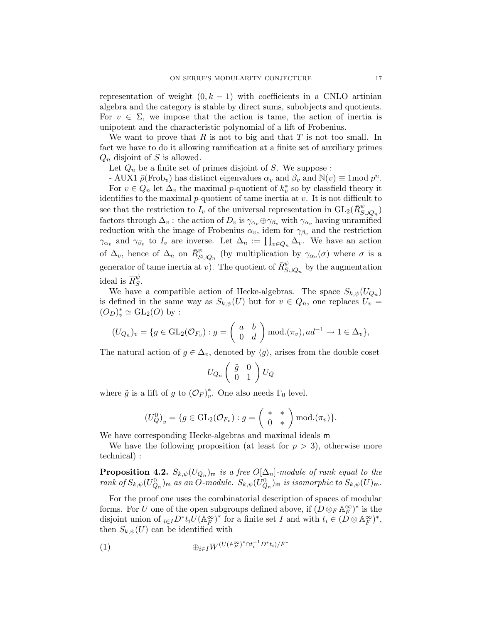representation of weight  $(0, k - 1)$  with coefficients in a CNLO artinian algebra and the category is stable by direct sums, subobjects and quotients. For  $v \in \Sigma$ , we impose that the action is tame, the action of inertia is unipotent and the characteristic polynomial of a lift of Frobenius.

We want to prove that  $R$  is not to big and that  $T$  is not too small. In fact we have to do it allowing ramification at a finite set of auxiliary primes  $Q_n$  disjoint of S is allowed.

Let  $Q_n$  be a finite set of primes disjoint of S. We suppose :

- AUX1  $\bar{\rho}$ (Frob<sub>v</sub>) has distinct eigenvalues  $\alpha_v$  and  $\beta_v$  and  $\mathbb{N}(v) \equiv 1 \text{mod } p^n$ . For  $v \in Q_n$  let  $\Delta_v$  the maximal *p*-quotient of  $k_v^*$  so by classfield theory it identifies to the maximal  $p$ -quotient of tame inertia at  $v$ . It is not difficult to see that the restriction to  $I_v$  of the universal representation in  $GL_2(\bar{R}_{S\cup Q_n}^{\psi})$ factors through  $\Delta_v$ : the action of  $D_v$  is  $\gamma_{\alpha_v} \oplus \gamma_{\beta_v}$  with  $\gamma_{\alpha_v}$  having unramified reduction with the image of Frobenius  $\alpha_v$ , idem for  $\gamma_{\beta_v}$  and the restriction  $\gamma_{\alpha_v}$  and  $\gamma_{\beta_v}$  to  $I_v$  are inverse. Let  $\Delta_n := \prod_{v \in Q_n} \Delta_v$ . We have an action of  $\Delta_v$ , hence of  $\Delta_n$  on  $\bar{R}_{S\cup Q_n}^{\psi}$  (by multiplication by  $\gamma_{\alpha_v}(\sigma)$  where  $\sigma$  is a generator of tame inertia at v). The quotient of  $\bar{R}^{\psi}_{S \cup Q_n}$  by the augmentation ideal is  $\overline{R}_{S}^{\psi}$  $^{\varphi}_{S}.$ 

We have a compatible action of Hecke-algebras. The space  $S_{k,\psi}(U_{Q_n})$ is defined in the same way as  $S_{k,\psi}(U)$  but for  $v \in Q_n$ , one replaces  $U_v =$  $(O_D)^*_v \simeq \mathrm{GL}_2(O)$  by :

$$
(U_{Q_n})_v = \{ g \in \mathrm{GL}_2(\mathcal{O}_{F_v}) : g = \begin{pmatrix} a & b \\ 0 & d \end{pmatrix} \bmod.(\pi_v), ad^{-1} \to 1 \in \Delta_v \},\
$$

The natural action of  $g \in \Delta_v$ , denoted by  $\langle g \rangle$ , arises from the double coset

$$
U_{Q_n}\left(\begin{array}{cc} \tilde{g} & 0\\ 0 & 1 \end{array}\right)U_Q
$$

where  $\tilde{g}$  is a lift of g to  $(\mathcal{O}_F)^*_v$ \*. One also needs  $\Gamma_0$  level.

$$
(U_Q^0)_v = \{ g \in \mathrm{GL}_2(\mathcal{O}_{F_v}) : g = \left( \begin{array}{cc} * & * \\ 0 & * \end{array} \right) \mathrm{mod.} (\pi_v) \}.
$$

We have corresponding Hecke-algebras and maximal ideals m

We have the following proposition (at least for  $p > 3$ ), otherwise more technical) :

**Proposition 4.2.**  $S_{k,\psi}(U_{Q_n})_m$  is a free  $O[\Delta_n]$ -module of rank equal to the rank of  $S_{k,\psi}(U_{Q_n}^0)$ <sub>m</sub> as an O-module.  $S_{k,\psi}(U_{Q_n}^0)$ <sub>m</sub> is isomorphic to  $S_{k,\psi}(U)$ <sub>m</sub>.

For the proof one uses the combinatorial description of spaces of modular forms. For U one of the open subgroups defined above, if  $(D \otimes_F \mathbb{A}_F^{\infty})^*$  is the disjoint union of  $_{i\in I}D^*t_i\tilde{U}(\mathbb{A}_F^{\infty})^*$  for a finite set I and with  $t_i \in (D\otimes \mathbb{A}_F^{\infty})^*$ , then  $S_{k,\psi}(U)$  can be identified with

$$
(1) \qquad \qquad \oplus_{i \in I} W^{(U(\mathbb{A}_F^\infty)^* \cap t_i^{-1} D^* t_i)/F^*}
$$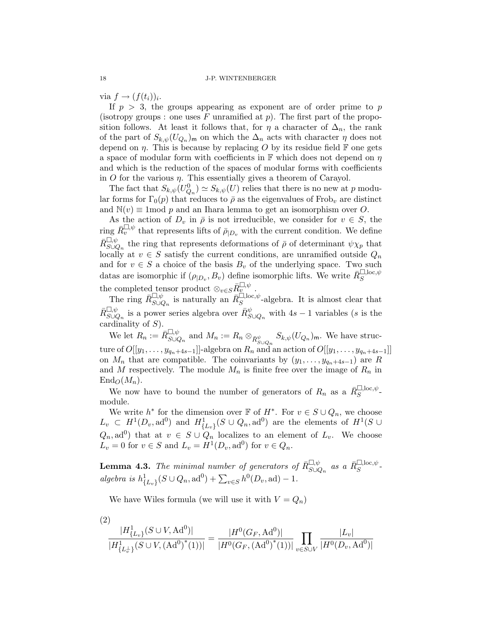via  $f \rightarrow (f(t_i))_i$ .

If  $p > 3$ , the groups appearing as exponent are of order prime to p (isotropy groups : one uses F unramified at  $p$ ). The first part of the proposition follows. At least it follows that, for  $\eta$  a character of  $\Delta_n$ , the rank of the part of  $S_{k,\psi}(U_{Q_n})_m$  on which the  $\Delta_n$  acts with character  $\eta$  does not depend on  $\eta$ . This is because by replacing O by its residue field F one gets a space of modular form with coefficients in  $\mathbb F$  which does not depend on  $\eta$ and which is the reduction of the spaces of modular forms with coefficients in O for the various  $\eta$ . This essentially gives a theorem of Carayol.

The fact that  $S_{k,\psi}(U_{Q_n}^0) \simeq S_{k,\psi}(U)$  relies that there is no new at p modular forms for  $\Gamma_0(p)$  that reduces to  $\bar{\rho}$  as the eigenvalues of Frob<sub>v</sub> are distinct and  $\mathbb{N}(v) \equiv 1 \mod p$  and an Ihara lemma to get an isomorphism over O.

As the action of  $D_v$  in  $\bar{\rho}$  is not irreducible, we consider for  $v \in S$ , the ring  $\bar{R}_v^{\square,\psi}$  that represents lifts of  $\bar{\rho}_{|D_v}$  with the current condition. We define  $\bar{R}_{S\cup Q_n}^{\square,\psi}$  the ring that represents deformations of  $\bar{\rho}$  of determinant  $\psi \chi_p$  that locally at  $v \in S$  satisfy the current conditions, are unramified outside  $Q_n$ and for  $v \in S$  a choice of the basis  $B_v$  of the underlying space. Two such datas are isomorphic if  $(\rho_{|D_v}, B_v)$  define isomorphic lifts. We write  $\bar{R}_S^{\square, \text{loc}, \psi}$ the completed tensor product  $\otimes_{v \in S} R^{\square, \psi}_{v}$ .

The ring  $\overline{R}_{S\cup Q_n}^{\square,\psi}$  is naturally an  $\overline{R}_S^{\square,\text{loc},\psi}$ -algebra. It is almost clear that  $\bar{R}_{S\cup Q_n}^{\square,\psi}$  is a power series algebra over  $\bar{R}_{S\cup Q_n}^{\psi}$  with  $4s-1$  variables (s is the cardinality of  $S$ ).

We let  $R_n := \overline{R}_{S \cup Q_n}^{\square, \psi}$  and  $M_n := R_n \otimes_{\overline{R}_{S \cup Q_n}^{\psi}} S_{k, \psi}(U_{Q_n})_{\mathfrak{m}}$ . We have structure of  $O([y_1, \ldots, y_{q_n+4s-1}]]$ -algebra on  $R_n$  and an action of  $O([y_1, \ldots, y_{q_n+4s-1}]]$ on  $M_n$  that are compatible. The coinvariants by  $(y_1, \ldots, y_{q_n+4s-1})$  are R and M respectively. The module  $M_n$  is finite free over the image of  $R_n$  in  $\text{End}_{\mathcal{O}}(M_n)$ .

We now have to bound the number of generators of  $R_n$  as a  $\bar{R}_S^{\square, \text{loc}, \psi}$ . module.

We write  $h^*$  for the dimension over  $\mathbb F$  of  $H^*$ . For  $v \in S \cup Q_n$ , we choose  $L_v \subset H^1(D_v, \text{ad}^0)$  and  $H^1_{\{L_v\}}(S \cup Q_n, \text{ad}^0)$  are the elements of  $H^1(S \cup$  $(Q_n, \text{ad}^0)$  that at  $v \in S \cup Q_n$  localizes to an element of  $L_v$ . We choose  $L_v = 0$  for  $v \in S$  and  $L_v = H^1(D_v, \text{ad}^0)$  for  $v \in Q_n$ .

**Lemma 4.3.** The minimal number of generators of  $\bar{R}_{S\cup Q_n}^{\square,\psi}$  as a  $\bar{R}_{S}^{\square,\text{loc},\psi}$ . algebra is  $h^1_{\{L_v\}}(S \cup Q_n, \text{ad}^0) + \sum_{v \in S} h^0(D_v, \text{ad}) - 1.$ 

We have Wiles formula (we will use it with  $V = Q_n$ )

$$
\frac{|H_{\{L_v\}}^1(S \cup V, \text{Ad}^0)|}{|H_{\{L_v^1\}}^1(S \cup V, (\text{Ad}^{0})^*(1))|} = \frac{|H^0(G_F, \text{Ad}^0)|}{|H^0(G_F, (\text{Ad}^{0})^*(1))|} \prod_{v \in S \cup V} \frac{|L_v|}{|H^0(D_v, \text{Ad}^0)|}
$$